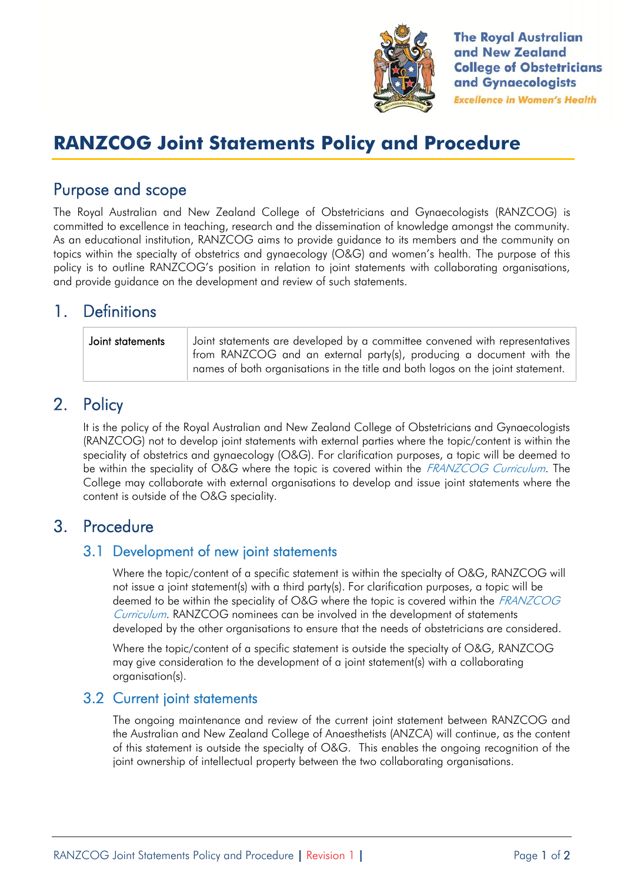

**The Royal Australian** and New Zealand **College of Obstetricians** and Gynaecologists **Excellence in Women's Health** 

# **RANZCOG Joint Statements Policy and Procedure**

## **Purpose and scope**

The Royal Australian and New Zealand College of Obstetricians and Gynaecologists (RANZCOG) is committed to excellence in teaching, research and the dissemination of knowledge amongst the community. As an educational institution, RANZCOG aims to provide guidance to its members and the community on topics within the specialty of obstetrics and gynaecology (O&G) and women's health. The purpose of this policy is to outline RANZCOG's position in relation to joint statements with collaborating organisations, and provide guidance on the development and review of such statements.

## **1. Definitions**

| Joint statements | Joint statements are developed by a committee convened with representatives<br>from RANZCOG and an external party(s), producing a document with the<br>names of both organisations in the title and both logos on the joint statement. |
|------------------|----------------------------------------------------------------------------------------------------------------------------------------------------------------------------------------------------------------------------------------|
|                  |                                                                                                                                                                                                                                        |

## **2. Policy**

It is the policy of the Royal Australian and New Zealand College of Obstetricians and Gynaecologists (RANZCOG) not to develop joint statements with external parties where the topic/content is within the speciality of obstetrics and gynaecology (O&G). For clarification purposes, a topic will be deemed to be within the speciality of O&G where the topic is covered within the *FRANZCOG Curriculum*. The College may collaborate with external organisations to develop and issue joint statements where the content is outside of the O&G speciality.

### **3. Procedure**

### **3.1 Development of new joint statements**

Where the topic/content of a specific statement is within the specialty of O&G, RANZCOG will not issue a joint statement(s) with a third party(s). For clarification purposes, a topic will be deemed to be within the speciality of O&G where the topic is covered within the *FRANZCOG Curriculum*. RANZCOG nominees can be involved in the development of statements developed by the other organisations to ensure that the needs of obstetricians are considered.

Where the topic/content of a specific statement is outside the specialty of O&G, RANZCOG may give consideration to the development of a joint statement(s) with a collaborating organisation(s).

### **3.2 Current joint statements**

The ongoing maintenance and review of the current joint statement between RANZCOG and the Australian and New Zealand College of Anaesthetists (ANZCA) will continue, as the content of this statement is outside the specialty of O&G. This enables the ongoing recognition of the joint ownership of intellectual property between the two collaborating organisations.